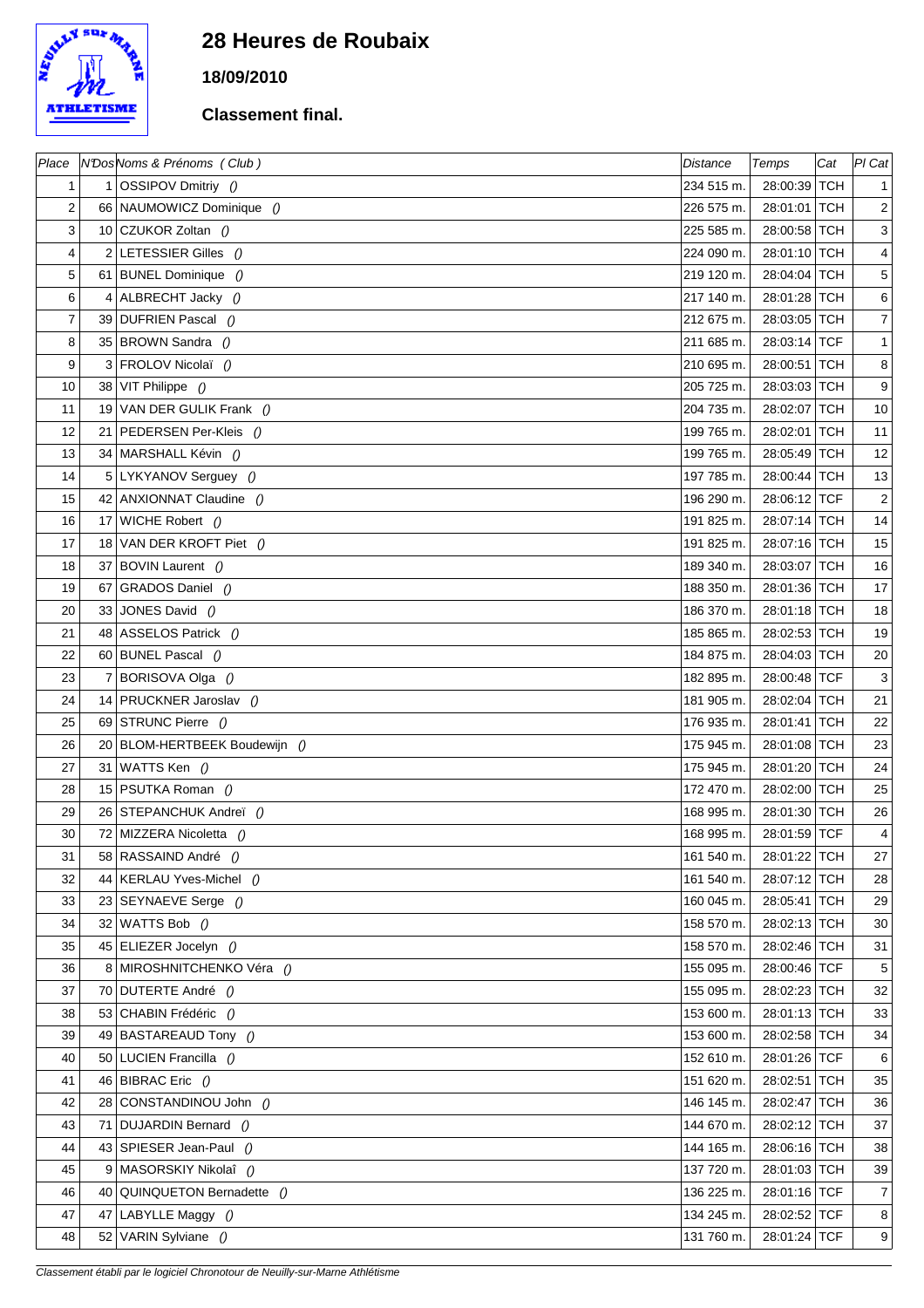

## **28 Heures de Roubaix**

**18/09/2010**

## **Classement final.**

|                |    | Place   N'Dos Noms & Prénoms (Club) | <b>Distance</b> | Temps          | Cat | $Pl$ Cat        |
|----------------|----|-------------------------------------|-----------------|----------------|-----|-----------------|
| 1              |    | 1 OSSIPOV Dmitriy $()$              | 234 515 m.      | 28:00:39 TCH   |     | 1               |
| $\overline{2}$ |    | 66 NAUMOWICZ Dominique ()           | 226 575 m.      | 28:01:01 TCH   |     | $\overline{2}$  |
| 3              |    | 10 CZUKOR Zoltan ()                 | 225 585 m.      | 28:00:58 TCH   |     | 3               |
| 4              |    | 2 LETESSIER Gilles $()$             | 224 090 m.      | 28:01:10 TCH   |     | $\vert 4 \vert$ |
| 5              |    | 61 BUNEL Dominique ()               | 219 120 m.      | 28:04:04 TCH   |     | 5 <sup>1</sup>  |
| 6              |    | 4 ALBRECHT Jacky ()                 | 217 140 m.      | 28:01:28 TCH   |     | $6 \mid$        |
| $\overline{7}$ |    | 39 DUFRIEN Pascal ()                | 212 675 m.      | 28:03:05 TCH   |     | $\overline{7}$  |
| 8              |    | 35 BROWN Sandra ()                  | 211 685 m.      | 28:03:14 TCF   |     | 1               |
| 9              |    | 3 FROLOV Nicolaï ()                 | 210 695 m.      | 28:00:51 TCH   |     | 8 <sup>1</sup>  |
| 10             |    | 38 VIT Philippe $()$                | 205 725 m.      | 28:03:03 TCH   |     | 9               |
| 11             |    | 19 VAN DER GULIK Frank ()           | 204 735 m.      | 28:02:07   TCH |     | 10 <sup>1</sup> |
| 12             |    | 21 PEDERSEN Per-Kleis ()            | 199 765 m.      | 28:02:01 TCH   |     | 11              |
| 13             |    | 34 MARSHALL Kévin ()                | 199 765 m.      | 28:05:49 TCH   |     | 12              |
| 14             |    | 5 LYKYANOV Serguey ()               | 197 785 m.      | 28:00:44 TCH   |     | 13              |
| 15             |    | 42 ANXIONNAT Claudine ()            | 196 290 m.      | 28:06:12 TCF   |     | $\mathbf{2}$    |
| 16             |    | 17 WICHE Robert ()                  | 191 825 m.      | 28:07:14 TCH   |     | 14              |
| 17             |    | 18 VAN DER KROFT Piet ()            | 191 825 m.      | 28:07:16 TCH   |     | 15              |
| 18             |    | 37 BOVIN Laurent ()                 | 189 340 m.      | 28:03:07 TCH   |     | 16              |
| 19             | 67 | GRADOS Daniel ()                    | 188 350 m.      | 28:01:36 TCH   |     | 17              |
| 20             |    | 33 JONES David ()                   | 186 370 m.      | 28:01:18 TCH   |     | 18              |
| 21             |    | 48 ASSELOS Patrick ()               | 185 865 m.      | 28:02:53 TCH   |     | 19              |
| 22             |    | 60 BUNEL Pascal ()                  | 184 875 m.      | 28:04:03 TCH   |     | 20              |
| 23             |    | 7 BORISOVA Olga ()                  | 182 895 m.      | 28:00:48 TCF   |     | 3 <sup>1</sup>  |
| 24             |    | 14 PRUCKNER Jaroslav ()             | 181 905 m.      | 28:02:04 TCH   |     | 21              |
| 25             |    | 69 STRUNC Pierre ()                 | 176 935 m.      | 28:01:41 TCH   |     | 22              |
| 26             |    | 20 BLOM-HERTBEEK Boudewijn ()       | 175 945 m.      | 28:01:08 TCH   |     | 23              |
| 27             |    | 31 WATTS Ken $()$                   | 175 945 m.      | 28:01:20 TCH   |     | 24              |
| 28             |    | 15 PSUTKA Roman ()                  | 172 470 m.      | 28:02:00 TCH   |     | 25              |
| 29             |    | 26 STEPANCHUK Andreï ()             | 168 995 m.      | 28:01:30 TCH   |     | 26              |
| 30             |    | 72 MIZZERA Nicoletta ()             | 168 995 m.      | 28:01:59 TCF   |     | $\vert 4 \vert$ |
| 31             |    | 58 RASSAIND André ()                | 161 540 m.      | 28:01:22 TCH   |     | 27              |
| 32             |    | 44   KERLAU Yves-Michel ()          | 161 540 m.      | 28:07:12 TCH   |     | 28              |
| 33             |    | 23 SEYNAEVE Serge ()                | 160 045 m.      | 28:05:41 TCH   |     | 29              |
| 34             | 32 | WATTS Bob ()                        | 158 570 m.      | 28:02:13 TCH   |     | 30 <sup>°</sup> |
| 35             |    | 45 ELIEZER Jocelyn ()               | 158 570 m.      | 28:02:46 TCH   |     | 31              |
| 36             |    | 8 MIROSHNITCHENKO Véra ()           | 155 095 m.      | 28:00:46 TCF   |     | 5 <sup>5</sup>  |
| 37             |    | 70 DUTERTE André ()                 | 155 095 m.      | 28:02:23 TCH   |     | 32              |
| 38             |    | 53 CHABIN Frédéric ()               | 153 600 m.      | 28:01:13 TCH   |     | 33              |
| 39             |    | 49 BASTAREAUD Tony ()               | 153 600 m.      | 28:02:58 TCH   |     | 34              |
| 40             |    | 50 LUCIEN Francilla ()              | 152 610 m.      | 28:01:26 TCF   |     | $6 \mid$        |
| 41             |    | 46 BIBRAC Eric $()$                 | 151 620 m.      | 28:02:51 TCH   |     | 35              |
| 42             |    | 28 CONSTANDINOU John ()             | 146 145 m.      | 28:02:47 TCH   |     | 36              |
| 43             |    | 71 DUJARDIN Bernard ()              | 144 670 m.      | 28:02:12 TCH   |     | 37              |
| 44             |    | 43 SPIESER Jean-Paul ()             | 144 165 m.      | 28:06:16 TCH   |     | 38              |
| 45             |    | 9 MASORSKIY Nikolaî ()              | 137 720 m.      | 28:01:03 TCH   |     | 39              |
| 46             |    | 40 QUINQUETON Bernadette ()         | 136 225 m.      | 28:01:16 TCF   |     | $\overline{7}$  |
| 47             | 47 | LABYLLE Maggy ()                    | 134 245 m.      | 28:02:52 TCF   |     | 8 <sup>1</sup>  |
| 48             |    | 52 VARIN Sylviane ()                | 131 760 m.      | 28:01:24 TCF   |     | 9               |
|                |    |                                     |                 |                |     |                 |